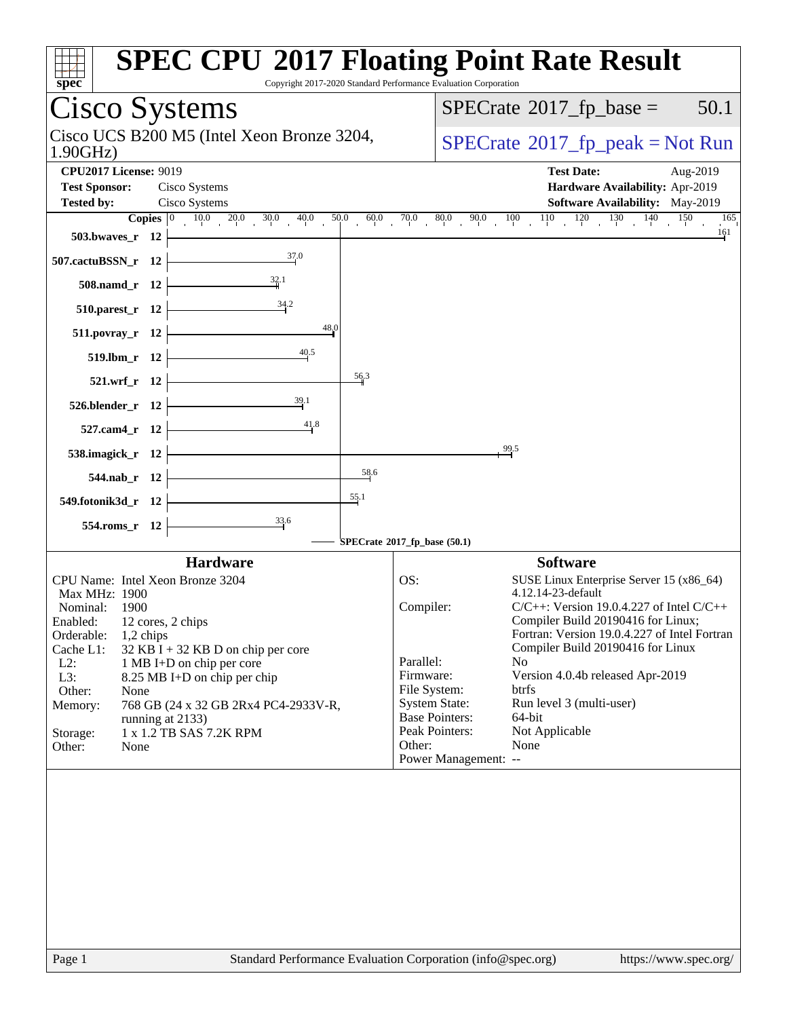| <b>SPEC CPU®2017 Floating Point Rate Result</b><br>spec<br>Copyright 2017-2020 Standard Performance Evaluation Corporation                                                                                                                                                                                                                                                                                                                                                                 |                                                                                                                                                                                                                                                                                                                                                                                                                                                                      |
|--------------------------------------------------------------------------------------------------------------------------------------------------------------------------------------------------------------------------------------------------------------------------------------------------------------------------------------------------------------------------------------------------------------------------------------------------------------------------------------------|----------------------------------------------------------------------------------------------------------------------------------------------------------------------------------------------------------------------------------------------------------------------------------------------------------------------------------------------------------------------------------------------------------------------------------------------------------------------|
| Cisco Systems                                                                                                                                                                                                                                                                                                                                                                                                                                                                              | $SPECTate$ <sup>®</sup> 2017_fp_base =<br>50.1                                                                                                                                                                                                                                                                                                                                                                                                                       |
| Cisco UCS B200 M5 (Intel Xeon Bronze 3204,<br>1.90GHz                                                                                                                                                                                                                                                                                                                                                                                                                                      | $SPECrate^{\circ}2017$ _fp_peak = Not Run                                                                                                                                                                                                                                                                                                                                                                                                                            |
| <b>CPU2017 License: 9019</b><br><b>Test Sponsor:</b><br>Cisco Systems                                                                                                                                                                                                                                                                                                                                                                                                                      | <b>Test Date:</b><br>Aug-2019<br>Hardware Availability: Apr-2019                                                                                                                                                                                                                                                                                                                                                                                                     |
| Cisco Systems<br><b>Tested by:</b>                                                                                                                                                                                                                                                                                                                                                                                                                                                         | Software Availability: May-2019                                                                                                                                                                                                                                                                                                                                                                                                                                      |
| <b>Copies</b> $\begin{bmatrix} 0 & 10 & 0 & 20 & 0 & 30 & 40 & 50 & 60 & 70 & 80 & 90 & 10 & 10 & 120 & 130 & 140 & 150 \end{bmatrix}$                                                                                                                                                                                                                                                                                                                                                     | 165                                                                                                                                                                                                                                                                                                                                                                                                                                                                  |
| 503.bwaves_r $12$ $\vdash$                                                                                                                                                                                                                                                                                                                                                                                                                                                                 | 161                                                                                                                                                                                                                                                                                                                                                                                                                                                                  |
| $\frac{37.0}{2}$<br>507.cactuBSSN_r 12 $\vert$                                                                                                                                                                                                                                                                                                                                                                                                                                             |                                                                                                                                                                                                                                                                                                                                                                                                                                                                      |
| $508$ .namd_r 12                                                                                                                                                                                                                                                                                                                                                                                                                                                                           |                                                                                                                                                                                                                                                                                                                                                                                                                                                                      |
| $510.parest_r 12$<br>48.0                                                                                                                                                                                                                                                                                                                                                                                                                                                                  |                                                                                                                                                                                                                                                                                                                                                                                                                                                                      |
| 511.povray_r 12  <br>40.5<br>$519. lbm_r 12$                                                                                                                                                                                                                                                                                                                                                                                                                                               |                                                                                                                                                                                                                                                                                                                                                                                                                                                                      |
| $\frac{56.3}{56}$<br>521.wrf_r 12                                                                                                                                                                                                                                                                                                                                                                                                                                                          |                                                                                                                                                                                                                                                                                                                                                                                                                                                                      |
| $\frac{39.1}{4}$<br>$526.$ blender_r 12 $\vdash$                                                                                                                                                                                                                                                                                                                                                                                                                                           |                                                                                                                                                                                                                                                                                                                                                                                                                                                                      |
| 41.8<br>$527$ .cam4_r 12 $\downarrow$                                                                                                                                                                                                                                                                                                                                                                                                                                                      |                                                                                                                                                                                                                                                                                                                                                                                                                                                                      |
| 538.imagick_r $12$ $-$                                                                                                                                                                                                                                                                                                                                                                                                                                                                     | 99.5                                                                                                                                                                                                                                                                                                                                                                                                                                                                 |
| 58.6<br>$544$ .nab_r 12                                                                                                                                                                                                                                                                                                                                                                                                                                                                    |                                                                                                                                                                                                                                                                                                                                                                                                                                                                      |
| 55.1<br>549.fotonik3d_r $12$                                                                                                                                                                                                                                                                                                                                                                                                                                                               |                                                                                                                                                                                                                                                                                                                                                                                                                                                                      |
| 554.roms_r 12                                                                                                                                                                                                                                                                                                                                                                                                                                                                              |                                                                                                                                                                                                                                                                                                                                                                                                                                                                      |
| SPECrate®2017_fp_base (50.1)<br><b>Hardware</b>                                                                                                                                                                                                                                                                                                                                                                                                                                            | <b>Software</b>                                                                                                                                                                                                                                                                                                                                                                                                                                                      |
| CPU Name: Intel Xeon Bronze 3204<br>OS:<br>Max MHz: 1900<br>Compiler:<br>Nominal: 1900<br>Enabled: 12 cores, 2 chips<br>Orderable:<br>$1,2$ chips<br>Cache L1:<br>$32$ KB I + 32 KB D on chip per core<br>Parallel:<br>$L2$ :<br>1 MB I+D on chip per core<br>Firmware:<br>L3:<br>8.25 MB I+D on chip per chip<br>File System:<br>Other:<br>None<br>768 GB (24 x 32 GB 2Rx4 PC4-2933V-R,<br>Memory:<br>running at 2133)<br>1 x 1.2 TB SAS 7.2K RPM<br>Storage:<br>Other:<br>None<br>Other: | SUSE Linux Enterprise Server 15 (x86_64)<br>4.12.14-23-default<br>$C/C++$ : Version 19.0.4.227 of Intel $C/C++$<br>Compiler Build 20190416 for Linux;<br>Fortran: Version 19.0.4.227 of Intel Fortran<br>Compiler Build 20190416 for Linux<br>N <sub>o</sub><br>Version 4.0.4b released Apr-2019<br>btrfs<br><b>System State:</b><br>Run level 3 (multi-user)<br><b>Base Pointers:</b><br>64-bit<br>Peak Pointers:<br>Not Applicable<br>None<br>Power Management: -- |
| Standard Performance Evaluation Corporation (info@spec.org)<br>Page 1                                                                                                                                                                                                                                                                                                                                                                                                                      | https://www.spec.org/                                                                                                                                                                                                                                                                                                                                                                                                                                                |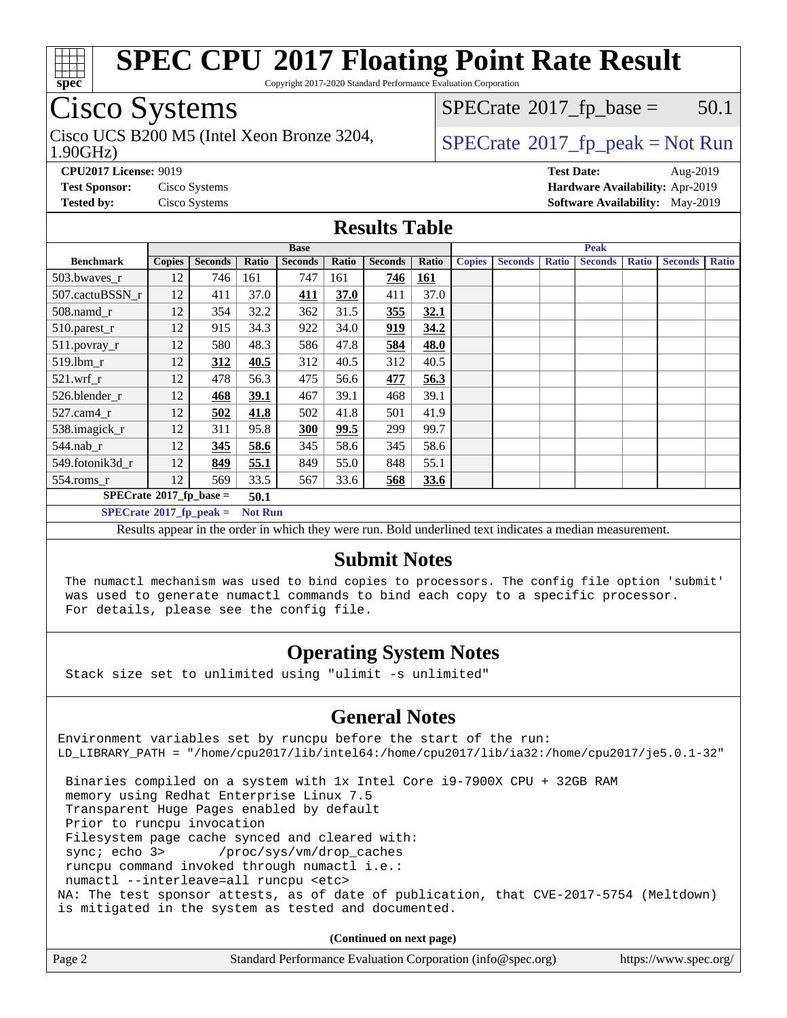

Copyright 2017-2020 Standard Performance Evaluation Corporation

# Cisco Systems

1.90GHz) Cisco UCS B200 M5 (Intel Xeon Bronze 3204,  $\vert$  [SPECrate](http://www.spec.org/auto/cpu2017/Docs/result-fields.html#SPECrate2017fppeak) 2017 fp peak = Not Run

 $SPECTate$ <sup>®</sup>[2017\\_fp\\_base =](http://www.spec.org/auto/cpu2017/Docs/result-fields.html#SPECrate2017fpbase) 50.1

**[CPU2017 License:](http://www.spec.org/auto/cpu2017/Docs/result-fields.html#CPU2017License)** 9019 **[Test Date:](http://www.spec.org/auto/cpu2017/Docs/result-fields.html#TestDate)** Aug-2019 **[Test Sponsor:](http://www.spec.org/auto/cpu2017/Docs/result-fields.html#TestSponsor)** Cisco Systems **[Hardware Availability:](http://www.spec.org/auto/cpu2017/Docs/result-fields.html#HardwareAvailability)** Apr-2019 **[Tested by:](http://www.spec.org/auto/cpu2017/Docs/result-fields.html#Testedby)** Cisco Systems **[Software Availability:](http://www.spec.org/auto/cpu2017/Docs/result-fields.html#SoftwareAvailability)** May-2019

### **[Results Table](http://www.spec.org/auto/cpu2017/Docs/result-fields.html#ResultsTable)**

|                                              | <b>Base</b>   |                |       |                | <b>Peak</b> |                |            |               |                |              |                |              |                |              |
|----------------------------------------------|---------------|----------------|-------|----------------|-------------|----------------|------------|---------------|----------------|--------------|----------------|--------------|----------------|--------------|
| <b>Benchmark</b>                             | <b>Copies</b> | <b>Seconds</b> | Ratio | <b>Seconds</b> | Ratio       | <b>Seconds</b> | Ratio      | <b>Copies</b> | <b>Seconds</b> | <b>Ratio</b> | <b>Seconds</b> | <b>Ratio</b> | <b>Seconds</b> | <b>Ratio</b> |
| 503.bwaves_r                                 | 12            | 746            | 161   | 747            | 161         | 746            | <b>161</b> |               |                |              |                |              |                |              |
| 507.cactuBSSN r                              | 12            | 411            | 37.0  | <u>411</u>     | 37.0        | 411            | 37.0       |               |                |              |                |              |                |              |
| $508$ .namd $r$                              | 12            | 354            | 32.2  | 362            | 31.5        | 355            | 32.1       |               |                |              |                |              |                |              |
| 510.parest_r                                 | 12            | 915            | 34.3  | 922            | 34.0        | 919            | 34.2       |               |                |              |                |              |                |              |
| 511.povray_r                                 | 12            | 580            | 48.3  | 586            | 47.8        | 584            | 48.0       |               |                |              |                |              |                |              |
| 519.lbm r                                    | 12            | 312            | 40.5  | 312            | 40.5        | 312            | 40.5       |               |                |              |                |              |                |              |
| $521.wrf_r$                                  | 12            | 478            | 56.3  | 475            | 56.6        | 477            | 56.3       |               |                |              |                |              |                |              |
| 526.blender_r                                | 12            | 468            | 39.1  | 467            | 39.1        | 468            | 39.1       |               |                |              |                |              |                |              |
| $527$ .cam $4$ _r                            | 12            | 502            | 41.8  | 502            | 41.8        | 501            | 41.9       |               |                |              |                |              |                |              |
| 538.imagick_r                                | 12            | 311            | 95.8  | 300            | 99.5        | 299            | 99.7       |               |                |              |                |              |                |              |
| $544$ .nab r                                 | 12            | 345            | 58.6  | 345            | 58.6        | 345            | 58.6       |               |                |              |                |              |                |              |
| 549.fotonik3d_r                              | 12            | 849            | 55.1  | 849            | 55.0        | 848            | 55.1       |               |                |              |                |              |                |              |
| 554.roms r                                   | 12            | 569            | 33.5  | 567            | 33.6        | 568            | 33.6       |               |                |              |                |              |                |              |
| $SPECrate^{\circ}2017$ fp base =<br>50.1     |               |                |       |                |             |                |            |               |                |              |                |              |                |              |
| $SPECrate@2017_fp\_peak =$<br><b>Not Run</b> |               |                |       |                |             |                |            |               |                |              |                |              |                |              |

Results appear in the [order in which they were run.](http://www.spec.org/auto/cpu2017/Docs/result-fields.html#RunOrder) Bold underlined text [indicates a median measurement.](http://www.spec.org/auto/cpu2017/Docs/result-fields.html#Median)

### **[Submit Notes](http://www.spec.org/auto/cpu2017/Docs/result-fields.html#SubmitNotes)**

 The numactl mechanism was used to bind copies to processors. The config file option 'submit' was used to generate numactl commands to bind each copy to a specific processor. For details, please see the config file.

## **[Operating System Notes](http://www.spec.org/auto/cpu2017/Docs/result-fields.html#OperatingSystemNotes)**

Stack size set to unlimited using "ulimit -s unlimited"

## **[General Notes](http://www.spec.org/auto/cpu2017/Docs/result-fields.html#GeneralNotes)**

Environment variables set by runcpu before the start of the run: LD\_LIBRARY\_PATH = "/home/cpu2017/lib/intel64:/home/cpu2017/lib/ia32:/home/cpu2017/je5.0.1-32"

 Binaries compiled on a system with 1x Intel Core i9-7900X CPU + 32GB RAM memory using Redhat Enterprise Linux 7.5 Transparent Huge Pages enabled by default Prior to runcpu invocation Filesystem page cache synced and cleared with: sync; echo 3> /proc/sys/vm/drop\_caches runcpu command invoked through numactl i.e.: numactl --interleave=all runcpu <etc> NA: The test sponsor attests, as of date of publication, that CVE-2017-5754 (Meltdown) is mitigated in the system as tested and documented.

**(Continued on next page)**

| Page 2<br>Standard Performance Evaluation Corporation (info@spec.org) | https://www.spec.org/ |
|-----------------------------------------------------------------------|-----------------------|
|-----------------------------------------------------------------------|-----------------------|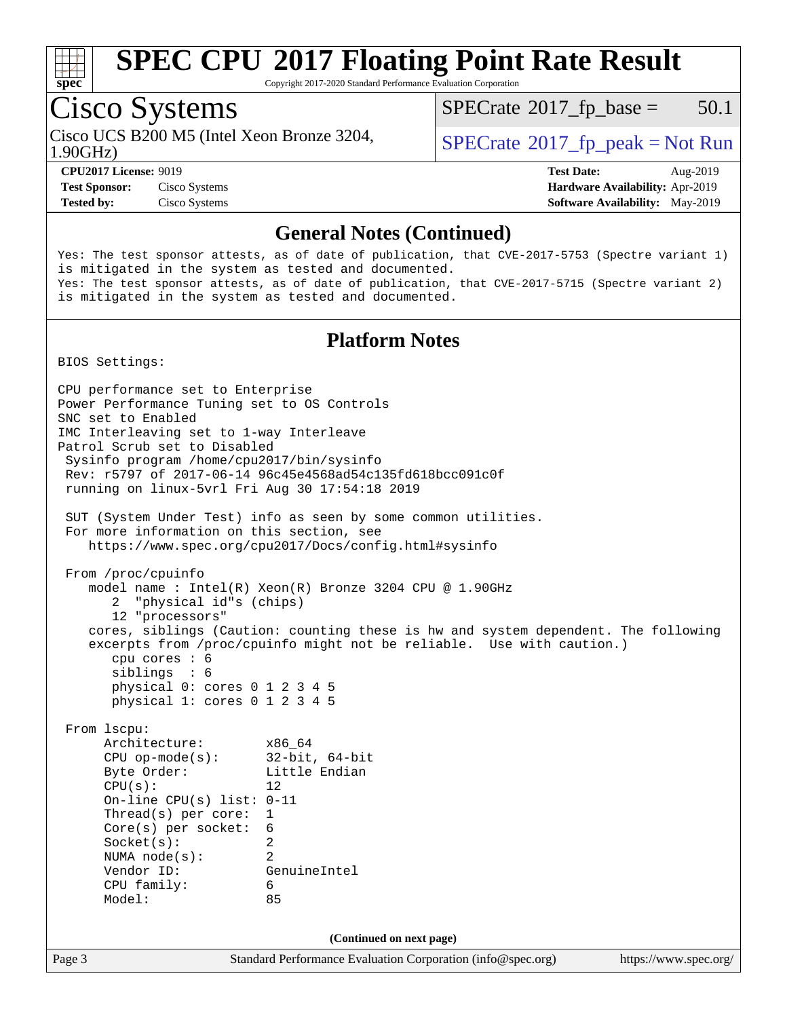

Copyright 2017-2020 Standard Performance Evaluation Corporation

## Cisco Systems

Cisco UCS B200 M5 (Intel Xeon Bronze 3204, 1.90GHz)

 $SPECTate$ <sup>®</sup>[2017\\_fp\\_base =](http://www.spec.org/auto/cpu2017/Docs/result-fields.html#SPECrate2017fpbase) 50.1

**[Test Sponsor:](http://www.spec.org/auto/cpu2017/Docs/result-fields.html#TestSponsor)** Cisco Systems **[Hardware Availability:](http://www.spec.org/auto/cpu2017/Docs/result-fields.html#HardwareAvailability)** Apr-2019

 $SPECTate$ <sup>®</sup>[2017\\_fp\\_peak = N](http://www.spec.org/auto/cpu2017/Docs/result-fields.html#SPECrate2017fppeak)ot Run

**[CPU2017 License:](http://www.spec.org/auto/cpu2017/Docs/result-fields.html#CPU2017License)** 9019 **[Test Date:](http://www.spec.org/auto/cpu2017/Docs/result-fields.html#TestDate)** Aug-2019 **[Tested by:](http://www.spec.org/auto/cpu2017/Docs/result-fields.html#Testedby)** Cisco Systems **[Software Availability:](http://www.spec.org/auto/cpu2017/Docs/result-fields.html#SoftwareAvailability)** May-2019

### **[General Notes \(Continued\)](http://www.spec.org/auto/cpu2017/Docs/result-fields.html#GeneralNotes)**

Yes: The test sponsor attests, as of date of publication, that CVE-2017-5753 (Spectre variant 1) is mitigated in the system as tested and documented. Yes: The test sponsor attests, as of date of publication, that CVE-2017-5715 (Spectre variant 2) is mitigated in the system as tested and documented.

## **[Platform Notes](http://www.spec.org/auto/cpu2017/Docs/result-fields.html#PlatformNotes)**

BIOS Settings:

Page 3 Standard Performance Evaluation Corporation [\(info@spec.org\)](mailto:info@spec.org) <https://www.spec.org/> CPU performance set to Enterprise Power Performance Tuning set to OS Controls SNC set to Enabled IMC Interleaving set to 1-way Interleave Patrol Scrub set to Disabled Sysinfo program /home/cpu2017/bin/sysinfo Rev: r5797 of 2017-06-14 96c45e4568ad54c135fd618bcc091c0f running on linux-5vrl Fri Aug 30 17:54:18 2019 SUT (System Under Test) info as seen by some common utilities. For more information on this section, see <https://www.spec.org/cpu2017/Docs/config.html#sysinfo> From /proc/cpuinfo model name : Intel(R) Xeon(R) Bronze 3204 CPU @ 1.90GHz 2 "physical id"s (chips) 12 "processors" cores, siblings (Caution: counting these is hw and system dependent. The following excerpts from /proc/cpuinfo might not be reliable. Use with caution.) cpu cores : 6 siblings : 6 physical 0: cores 0 1 2 3 4 5 physical 1: cores 0 1 2 3 4 5 From lscpu: Architecture: x86\_64 CPU op-mode(s): 32-bit, 64-bit Byte Order: Little Endian  $CPU(s):$  12 On-line CPU(s) list: 0-11 Thread(s) per core: 1 Core(s) per socket: 6 Socket(s): 2 NUMA node(s): 2 Vendor ID: GenuineIntel CPU family: 6 Model: 85 **(Continued on next page)**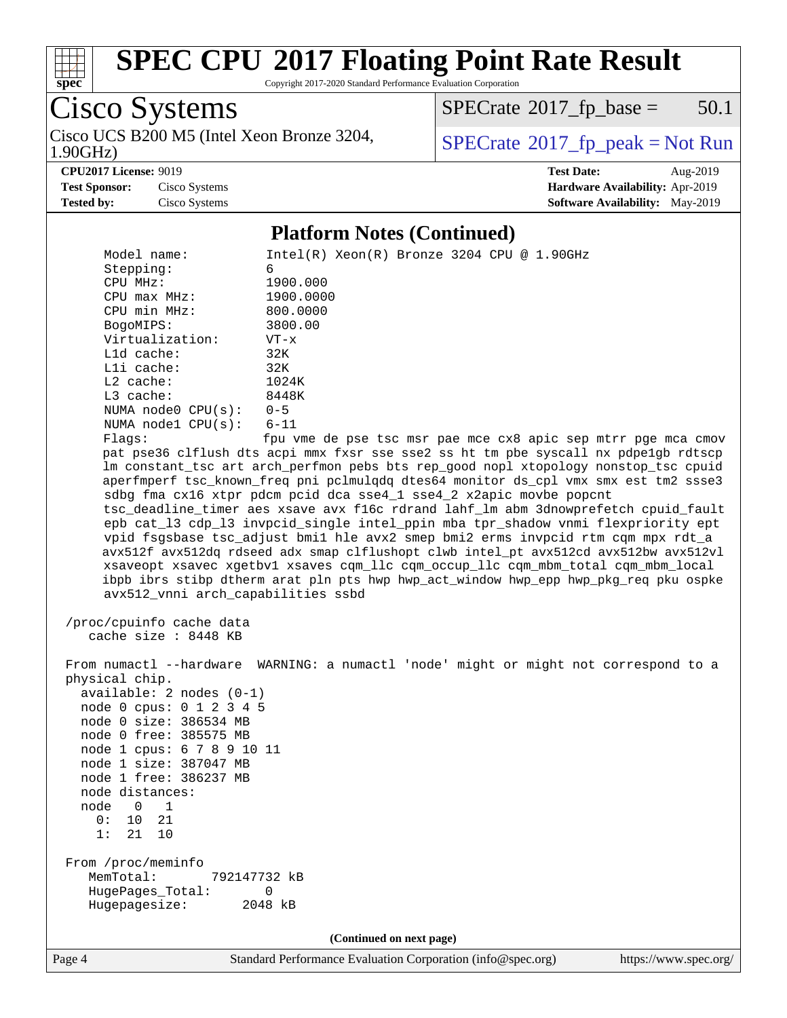

Copyright 2017-2020 Standard Performance Evaluation Corporation

Cisco Systems Cisco UCS B200 M5 (Intel Xeon Bronze 3204, 1.90GHz)

 $SPECTate$ <sup>®</sup>[2017\\_fp\\_base =](http://www.spec.org/auto/cpu2017/Docs/result-fields.html#SPECrate2017fpbase) 50.1

 $SPECTate$ <sup>®</sup>[2017\\_fp\\_peak = N](http://www.spec.org/auto/cpu2017/Docs/result-fields.html#SPECrate2017fppeak)ot Run

**[CPU2017 License:](http://www.spec.org/auto/cpu2017/Docs/result-fields.html#CPU2017License)** 9019 **[Test Date:](http://www.spec.org/auto/cpu2017/Docs/result-fields.html#TestDate)** Aug-2019 **[Test Sponsor:](http://www.spec.org/auto/cpu2017/Docs/result-fields.html#TestSponsor)** Cisco Systems **[Hardware Availability:](http://www.spec.org/auto/cpu2017/Docs/result-fields.html#HardwareAvailability)** Apr-2019 **[Tested by:](http://www.spec.org/auto/cpu2017/Docs/result-fields.html#Testedby)** Cisco Systems **[Software Availability:](http://www.spec.org/auto/cpu2017/Docs/result-fields.html#SoftwareAvailability)** May-2019

### **[Platform Notes \(Continued\)](http://www.spec.org/auto/cpu2017/Docs/result-fields.html#PlatformNotes)**

Model name: Intel(R) Xeon(R) Bronze 3204 CPU @ 1.90GHz Stepping: 6<br>
CPU MHz: 1900.000 CPU MHz: 1900.000 CPU max MHz: 1900.0000 CPU min MHz: 800.0000 BogoMIPS: 3800.00 Virtualization: VT-x L1d cache: 32K L1i cache: 32K L2 cache: 1024K L3 cache: 8448K NUMA node0 CPU(s): 0-5 NUMA node1 CPU(s): 6-11 Flags: fpu vme de pse tsc msr pae mce cx8 apic sep mtrr pge mca cmov pat pse36 clflush dts acpi mmx fxsr sse sse2 ss ht tm pbe syscall nx pdpe1gb rdtscp lm constant\_tsc art arch\_perfmon pebs bts rep\_good nopl xtopology nonstop\_tsc cpuid aperfmperf tsc\_known\_freq pni pclmulqdq dtes64 monitor ds\_cpl vmx smx est tm2 ssse3 sdbg fma cx16 xtpr pdcm pcid dca sse4\_1 sse4\_2 x2apic movbe popcnt tsc\_deadline\_timer aes xsave avx f16c rdrand lahf\_lm abm 3dnowprefetch cpuid\_fault epb cat\_l3 cdp\_l3 invpcid\_single intel\_ppin mba tpr\_shadow vnmi flexpriority ept vpid fsgsbase tsc\_adjust bmi1 hle avx2 smep bmi2 erms invpcid rtm cqm mpx rdt\_a avx512f avx512dq rdseed adx smap clflushopt clwb intel\_pt avx512cd avx512bw avx512vl xsaveopt xsavec xgetbv1 xsaves cqm\_llc cqm\_occup\_llc cqm\_mbm\_total cqm\_mbm\_local ibpb ibrs stibp dtherm arat pln pts hwp hwp\_act\_window hwp\_epp hwp\_pkg\_req pku ospke avx512\_vnni arch\_capabilities ssbd /proc/cpuinfo cache data cache size : 8448 KB From numactl --hardware WARNING: a numactl 'node' might or might not correspond to a physical chip. available: 2 nodes (0-1) node 0 cpus: 0 1 2 3 4 5 node 0 size: 386534 MB node 0 free: 385575 MB node 1 cpus: 6 7 8 9 10 11 node 1 size: 387047 MB node 1 free: 386237 MB node distances: node 0 1 0: 10 21 1: 21 10 From /proc/meminfo MemTotal: 792147732 kB HugePages\_Total: 0 Hugepagesize: 2048 kB **(Continued on next page)**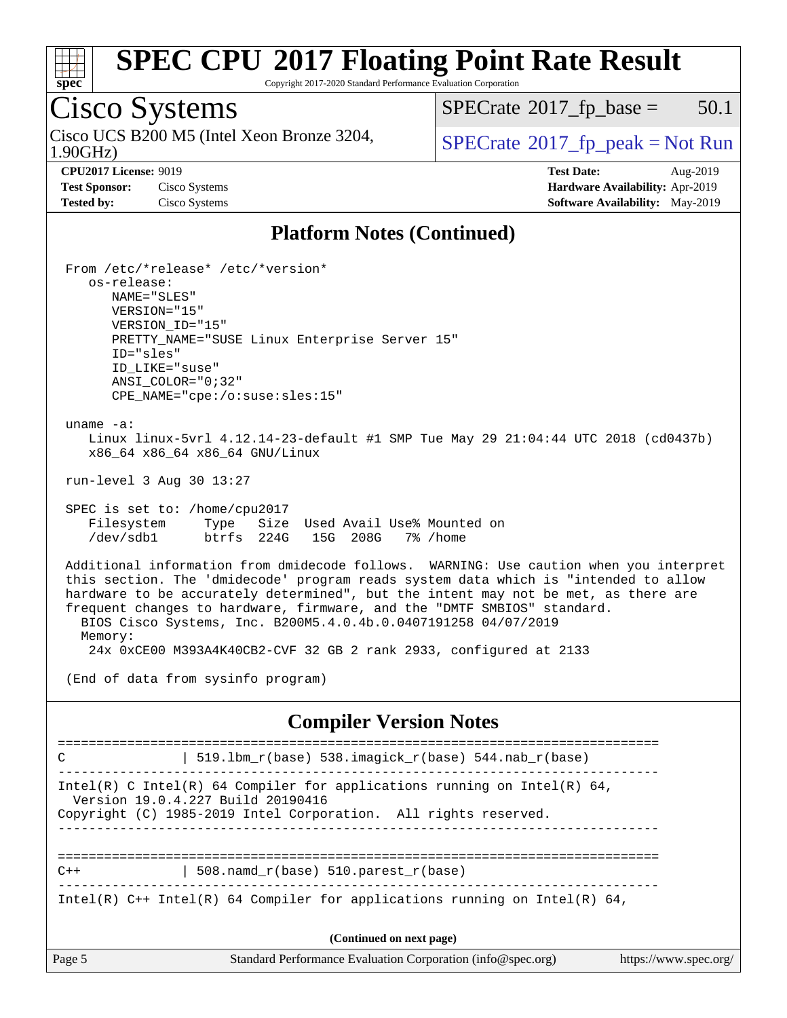

Copyright 2017-2020 Standard Performance Evaluation Corporation

## Cisco Systems

1.90GHz) Cisco UCS B200 M5 (Intel Xeon Bronze 3204,  $\vert$  [SPECrate](http://www.spec.org/auto/cpu2017/Docs/result-fields.html#SPECrate2017fppeak) 2017 fp peak = Not Run

 $SPECTate$ <sup>®</sup>[2017\\_fp\\_base =](http://www.spec.org/auto/cpu2017/Docs/result-fields.html#SPECrate2017fpbase) 50.1

**[Test Sponsor:](http://www.spec.org/auto/cpu2017/Docs/result-fields.html#TestSponsor)** Cisco Systems **[Hardware Availability:](http://www.spec.org/auto/cpu2017/Docs/result-fields.html#HardwareAvailability)** Apr-2019

**[CPU2017 License:](http://www.spec.org/auto/cpu2017/Docs/result-fields.html#CPU2017License)** 9019 **[Test Date:](http://www.spec.org/auto/cpu2017/Docs/result-fields.html#TestDate)** Aug-2019 **[Tested by:](http://www.spec.org/auto/cpu2017/Docs/result-fields.html#Testedby)** Cisco Systems **[Software Availability:](http://www.spec.org/auto/cpu2017/Docs/result-fields.html#SoftwareAvailability)** May-2019

### **[Platform Notes \(Continued\)](http://www.spec.org/auto/cpu2017/Docs/result-fields.html#PlatformNotes)**

 From /etc/\*release\* /etc/\*version\* os-release: NAME="SLES" VERSION="15" VERSION\_ID="15" PRETTY\_NAME="SUSE Linux Enterprise Server 15" ID="sles" ID\_LIKE="suse" ANSI\_COLOR="0;32" CPE\_NAME="cpe:/o:suse:sles:15" uname -a: Linux linux-5vrl 4.12.14-23-default #1 SMP Tue May 29 21:04:44 UTC 2018 (cd0437b) x86\_64 x86\_64 x86\_64 GNU/Linux run-level 3 Aug 30 13:27 SPEC is set to: /home/cpu2017 Filesystem Type Size Used Avail Use% Mounted on /dev/sdb1 btrfs 224G 15G 208G 7% /home Additional information from dmidecode follows. WARNING: Use caution when you interpret this section. The 'dmidecode' program reads system data which is "intended to allow hardware to be accurately determined", but the intent may not be met, as there are frequent changes to hardware, firmware, and the "DMTF SMBIOS" standard. BIOS Cisco Systems, Inc. B200M5.4.0.4b.0.0407191258 04/07/2019 Memory: 24x 0xCE00 M393A4K40CB2-CVF 32 GB 2 rank 2933, configured at 2133 (End of data from sysinfo program) **[Compiler Version Notes](http://www.spec.org/auto/cpu2017/Docs/result-fields.html#CompilerVersionNotes)** ============================================================================== C  $\vert$  519.1bm\_r(base) 538.imagick\_r(base) 544.nab r(base) ------------------------------------------------------------------------------ Intel(R) C Intel(R) 64 Compiler for applications running on Intel(R)  $64$ , Version 19.0.4.227 Build 20190416 Copyright (C) 1985-2019 Intel Corporation. All rights reserved. ------------------------------------------------------------------------------ ==============================================================================  $C++$  | 508.namd\_r(base) 510.parest\_r(base) ------------------------------------------------------------------------------ Intel(R)  $C++$  Intel(R) 64 Compiler for applications running on Intel(R) 64,

**(Continued on next page)**

| аре |  |
|-----|--|
|     |  |

Page 5 Standard Performance Evaluation Corporation [\(info@spec.org\)](mailto:info@spec.org) <https://www.spec.org/>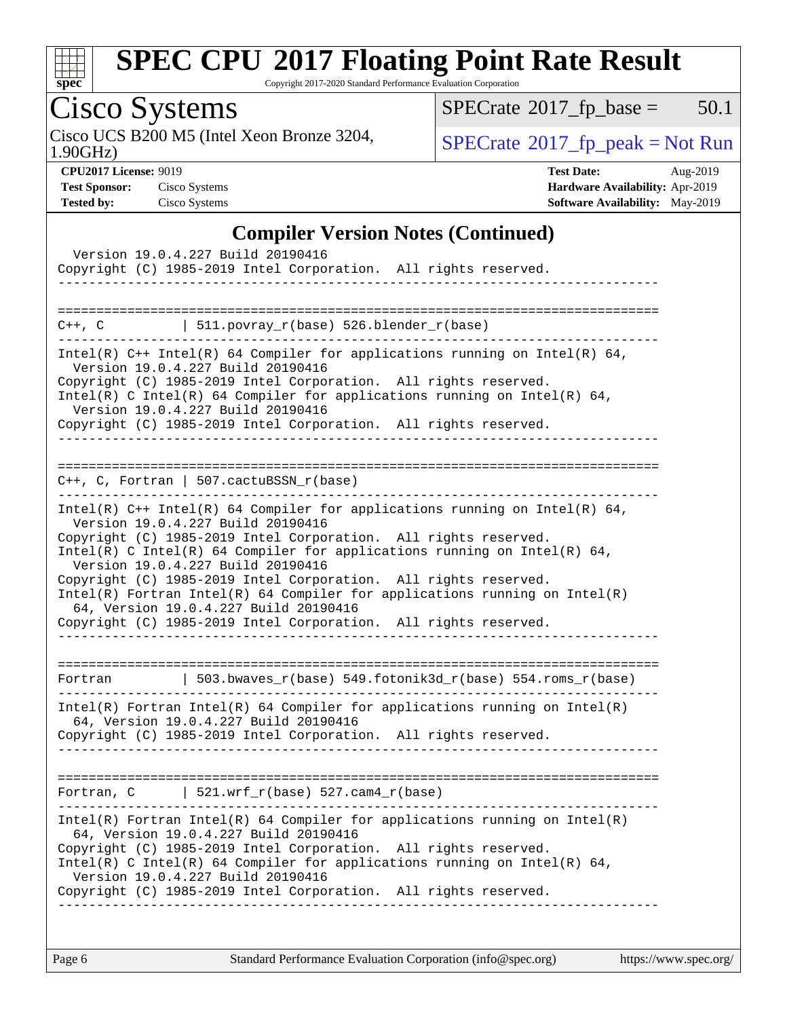

Copyright 2017-2020 Standard Performance Evaluation Corporation

# Cisco Systems

1.90GHz) Cisco UCS B200 M5 (Intel Xeon Bronze 3204,  $\boxed{\text{SPECrate}^{\circ}2017\_fp\_peak = Not Run}$  $\boxed{\text{SPECrate}^{\circ}2017\_fp\_peak = Not Run}$  $\boxed{\text{SPECrate}^{\circ}2017\_fp\_peak = Not Run}$ 

 $SPECTate@2017_fp\_base = 50.1$ 

**[CPU2017 License:](http://www.spec.org/auto/cpu2017/Docs/result-fields.html#CPU2017License)** 9019 **[Test Date:](http://www.spec.org/auto/cpu2017/Docs/result-fields.html#TestDate)** Aug-2019 **[Test Sponsor:](http://www.spec.org/auto/cpu2017/Docs/result-fields.html#TestSponsor)** Cisco Systems **[Hardware Availability:](http://www.spec.org/auto/cpu2017/Docs/result-fields.html#HardwareAvailability)** Apr-2019 **[Tested by:](http://www.spec.org/auto/cpu2017/Docs/result-fields.html#Testedby)** Cisco Systems **[Software Availability:](http://www.spec.org/auto/cpu2017/Docs/result-fields.html#SoftwareAvailability)** May-2019

### **[Compiler Version Notes \(Continued\)](http://www.spec.org/auto/cpu2017/Docs/result-fields.html#CompilerVersionNotes)**

|             | Version 19.0.4.227 Build 20190416<br>Copyright (C) 1985-2019 Intel Corporation. All rights reserved.                                                                                                                                                                                                                     |                                                                                                                                                                                                                                          |
|-------------|--------------------------------------------------------------------------------------------------------------------------------------------------------------------------------------------------------------------------------------------------------------------------------------------------------------------------|------------------------------------------------------------------------------------------------------------------------------------------------------------------------------------------------------------------------------------------|
| $C++$ , $C$ | 511.povray_r(base) 526.blender_r(base)                                                                                                                                                                                                                                                                                   |                                                                                                                                                                                                                                          |
|             | Version 19.0.4.227 Build 20190416<br>Copyright (C) 1985-2019 Intel Corporation. All rights reserved.<br>Version 19.0.4.227 Build 20190416<br>Copyright (C) 1985-2019 Intel Corporation. All rights reserved.<br>. _ _ _ _ _ _ _ _ _ _ _ _ _ _ _                                                                          | Intel(R) $C++$ Intel(R) 64 Compiler for applications running on Intel(R) 64,<br>Intel(R) C Intel(R) 64 Compiler for applications running on Intel(R) 64,                                                                                 |
|             | $C++$ , C, Fortran   507.cactuBSSN_r(base)                                                                                                                                                                                                                                                                               |                                                                                                                                                                                                                                          |
|             | Version 19.0.4.227 Build 20190416<br>Copyright (C) 1985-2019 Intel Corporation. All rights reserved.<br>Version 19.0.4.227 Build 20190416<br>Copyright (C) 1985-2019 Intel Corporation. All rights reserved.<br>64, Version 19.0.4.227 Build 20190416<br>Copyright (C) 1985-2019 Intel Corporation. All rights reserved. | Intel(R) $C++$ Intel(R) 64 Compiler for applications running on Intel(R) 64,<br>Intel(R) C Intel(R) 64 Compiler for applications running on Intel(R) 64,<br>$Intel(R)$ Fortran Intel(R) 64 Compiler for applications running on Intel(R) |
|             |                                                                                                                                                                                                                                                                                                                          | Fortran   503.bwaves_r(base) 549.fotonik3d_r(base) 554.roms_r(base)                                                                                                                                                                      |
|             | 64, Version 19.0.4.227 Build 20190416<br>Copyright (C) 1985-2019 Intel Corporation. All rights reserved.                                                                                                                                                                                                                 | $Intel(R)$ Fortran Intel(R) 64 Compiler for applications running on Intel(R)                                                                                                                                                             |
|             | Fortran, $C$   521.wrf_r(base) 527.cam4_r(base)                                                                                                                                                                                                                                                                          |                                                                                                                                                                                                                                          |
|             | 64, Version 19.0.4.227 Build 20190416<br>Copyright (C) 1985-2019 Intel Corporation. All rights reserved.<br>Version 19.0.4.227 Build 20190416<br>Copyright (C) 1985-2019 Intel Corporation. All rights reserved.                                                                                                         | Intel(R) Fortran Intel(R) 64 Compiler for applications running on Intel(R)<br>Intel(R) C Intel(R) 64 Compiler for applications running on Intel(R) 64,                                                                                   |
|             |                                                                                                                                                                                                                                                                                                                          |                                                                                                                                                                                                                                          |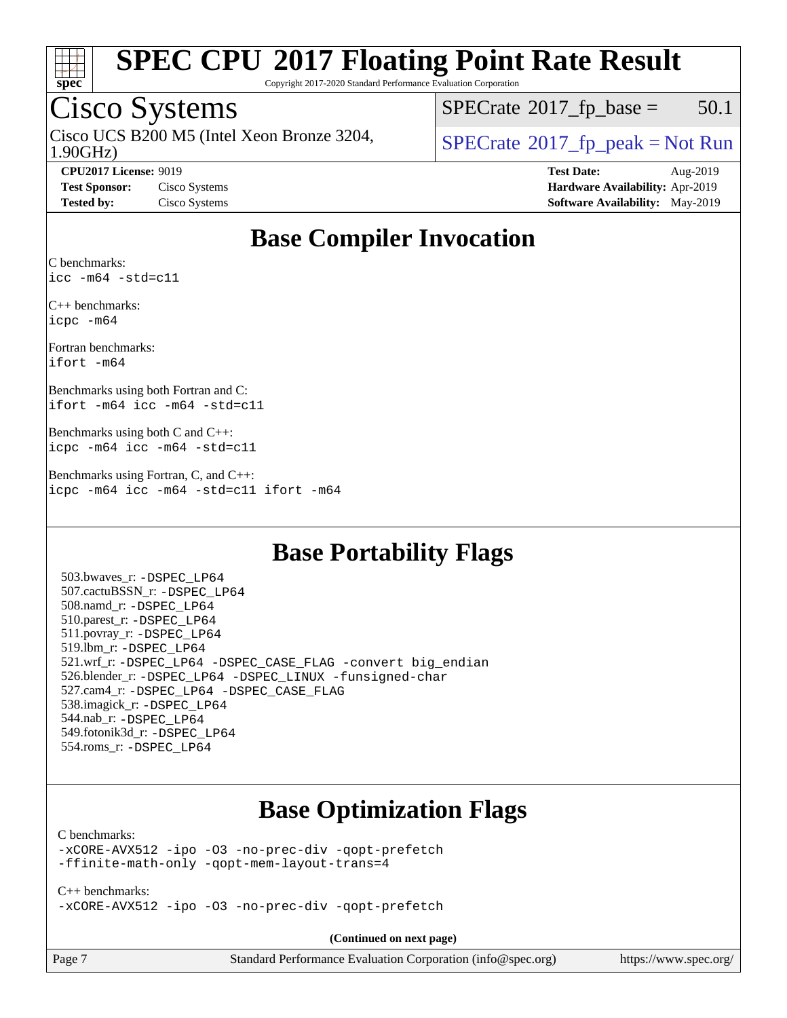

Copyright 2017-2020 Standard Performance Evaluation Corporation

## Cisco Systems

1.90GHz) Cisco UCS B200 M5 (Intel Xeon Bronze 3204,  $\vert$  [SPECrate](http://www.spec.org/auto/cpu2017/Docs/result-fields.html#SPECrate2017fppeak) 2017 fp peak = Not Run

 $SPECTate@2017<sub>rfp</sub> base = 50.1$ 

**[CPU2017 License:](http://www.spec.org/auto/cpu2017/Docs/result-fields.html#CPU2017License)** 9019 **[Test Date:](http://www.spec.org/auto/cpu2017/Docs/result-fields.html#TestDate)** Aug-2019 **[Test Sponsor:](http://www.spec.org/auto/cpu2017/Docs/result-fields.html#TestSponsor)** Cisco Systems **[Hardware Availability:](http://www.spec.org/auto/cpu2017/Docs/result-fields.html#HardwareAvailability)** Apr-2019 **[Tested by:](http://www.spec.org/auto/cpu2017/Docs/result-fields.html#Testedby)** Cisco Systems **[Software Availability:](http://www.spec.org/auto/cpu2017/Docs/result-fields.html#SoftwareAvailability)** May-2019

## **[Base Compiler Invocation](http://www.spec.org/auto/cpu2017/Docs/result-fields.html#BaseCompilerInvocation)**

[C benchmarks](http://www.spec.org/auto/cpu2017/Docs/result-fields.html#Cbenchmarks): [icc -m64 -std=c11](http://www.spec.org/cpu2017/results/res2019q3/cpu2017-20190903-17723.flags.html#user_CCbase_intel_icc_64bit_c11_33ee0cdaae7deeeab2a9725423ba97205ce30f63b9926c2519791662299b76a0318f32ddfffdc46587804de3178b4f9328c46fa7c2b0cd779d7a61945c91cd35)

[C++ benchmarks](http://www.spec.org/auto/cpu2017/Docs/result-fields.html#CXXbenchmarks): [icpc -m64](http://www.spec.org/cpu2017/results/res2019q3/cpu2017-20190903-17723.flags.html#user_CXXbase_intel_icpc_64bit_4ecb2543ae3f1412ef961e0650ca070fec7b7afdcd6ed48761b84423119d1bf6bdf5cad15b44d48e7256388bc77273b966e5eb805aefd121eb22e9299b2ec9d9)

[Fortran benchmarks:](http://www.spec.org/auto/cpu2017/Docs/result-fields.html#Fortranbenchmarks) [ifort -m64](http://www.spec.org/cpu2017/results/res2019q3/cpu2017-20190903-17723.flags.html#user_FCbase_intel_ifort_64bit_24f2bb282fbaeffd6157abe4f878425411749daecae9a33200eee2bee2fe76f3b89351d69a8130dd5949958ce389cf37ff59a95e7a40d588e8d3a57e0c3fd751)

[Benchmarks using both Fortran and C](http://www.spec.org/auto/cpu2017/Docs/result-fields.html#BenchmarksusingbothFortranandC): [ifort -m64](http://www.spec.org/cpu2017/results/res2019q3/cpu2017-20190903-17723.flags.html#user_CC_FCbase_intel_ifort_64bit_24f2bb282fbaeffd6157abe4f878425411749daecae9a33200eee2bee2fe76f3b89351d69a8130dd5949958ce389cf37ff59a95e7a40d588e8d3a57e0c3fd751) [icc -m64 -std=c11](http://www.spec.org/cpu2017/results/res2019q3/cpu2017-20190903-17723.flags.html#user_CC_FCbase_intel_icc_64bit_c11_33ee0cdaae7deeeab2a9725423ba97205ce30f63b9926c2519791662299b76a0318f32ddfffdc46587804de3178b4f9328c46fa7c2b0cd779d7a61945c91cd35)

[Benchmarks using both C and C++:](http://www.spec.org/auto/cpu2017/Docs/result-fields.html#BenchmarksusingbothCandCXX) [icpc -m64](http://www.spec.org/cpu2017/results/res2019q3/cpu2017-20190903-17723.flags.html#user_CC_CXXbase_intel_icpc_64bit_4ecb2543ae3f1412ef961e0650ca070fec7b7afdcd6ed48761b84423119d1bf6bdf5cad15b44d48e7256388bc77273b966e5eb805aefd121eb22e9299b2ec9d9) [icc -m64 -std=c11](http://www.spec.org/cpu2017/results/res2019q3/cpu2017-20190903-17723.flags.html#user_CC_CXXbase_intel_icc_64bit_c11_33ee0cdaae7deeeab2a9725423ba97205ce30f63b9926c2519791662299b76a0318f32ddfffdc46587804de3178b4f9328c46fa7c2b0cd779d7a61945c91cd35)

[Benchmarks using Fortran, C, and C++](http://www.spec.org/auto/cpu2017/Docs/result-fields.html#BenchmarksusingFortranCandCXX): [icpc -m64](http://www.spec.org/cpu2017/results/res2019q3/cpu2017-20190903-17723.flags.html#user_CC_CXX_FCbase_intel_icpc_64bit_4ecb2543ae3f1412ef961e0650ca070fec7b7afdcd6ed48761b84423119d1bf6bdf5cad15b44d48e7256388bc77273b966e5eb805aefd121eb22e9299b2ec9d9) [icc -m64 -std=c11](http://www.spec.org/cpu2017/results/res2019q3/cpu2017-20190903-17723.flags.html#user_CC_CXX_FCbase_intel_icc_64bit_c11_33ee0cdaae7deeeab2a9725423ba97205ce30f63b9926c2519791662299b76a0318f32ddfffdc46587804de3178b4f9328c46fa7c2b0cd779d7a61945c91cd35) [ifort -m64](http://www.spec.org/cpu2017/results/res2019q3/cpu2017-20190903-17723.flags.html#user_CC_CXX_FCbase_intel_ifort_64bit_24f2bb282fbaeffd6157abe4f878425411749daecae9a33200eee2bee2fe76f3b89351d69a8130dd5949958ce389cf37ff59a95e7a40d588e8d3a57e0c3fd751)

## **[Base Portability Flags](http://www.spec.org/auto/cpu2017/Docs/result-fields.html#BasePortabilityFlags)**

 503.bwaves\_r: [-DSPEC\\_LP64](http://www.spec.org/cpu2017/results/res2019q3/cpu2017-20190903-17723.flags.html#suite_basePORTABILITY503_bwaves_r_DSPEC_LP64) 507.cactuBSSN\_r: [-DSPEC\\_LP64](http://www.spec.org/cpu2017/results/res2019q3/cpu2017-20190903-17723.flags.html#suite_basePORTABILITY507_cactuBSSN_r_DSPEC_LP64) 508.namd\_r: [-DSPEC\\_LP64](http://www.spec.org/cpu2017/results/res2019q3/cpu2017-20190903-17723.flags.html#suite_basePORTABILITY508_namd_r_DSPEC_LP64) 510.parest\_r: [-DSPEC\\_LP64](http://www.spec.org/cpu2017/results/res2019q3/cpu2017-20190903-17723.flags.html#suite_basePORTABILITY510_parest_r_DSPEC_LP64) 511.povray\_r: [-DSPEC\\_LP64](http://www.spec.org/cpu2017/results/res2019q3/cpu2017-20190903-17723.flags.html#suite_basePORTABILITY511_povray_r_DSPEC_LP64) 519.lbm\_r: [-DSPEC\\_LP64](http://www.spec.org/cpu2017/results/res2019q3/cpu2017-20190903-17723.flags.html#suite_basePORTABILITY519_lbm_r_DSPEC_LP64) 521.wrf\_r: [-DSPEC\\_LP64](http://www.spec.org/cpu2017/results/res2019q3/cpu2017-20190903-17723.flags.html#suite_basePORTABILITY521_wrf_r_DSPEC_LP64) [-DSPEC\\_CASE\\_FLAG](http://www.spec.org/cpu2017/results/res2019q3/cpu2017-20190903-17723.flags.html#b521.wrf_r_baseCPORTABILITY_DSPEC_CASE_FLAG) [-convert big\\_endian](http://www.spec.org/cpu2017/results/res2019q3/cpu2017-20190903-17723.flags.html#user_baseFPORTABILITY521_wrf_r_convert_big_endian_c3194028bc08c63ac5d04de18c48ce6d347e4e562e8892b8bdbdc0214820426deb8554edfa529a3fb25a586e65a3d812c835984020483e7e73212c4d31a38223) 526.blender\_r: [-DSPEC\\_LP64](http://www.spec.org/cpu2017/results/res2019q3/cpu2017-20190903-17723.flags.html#suite_basePORTABILITY526_blender_r_DSPEC_LP64) [-DSPEC\\_LINUX](http://www.spec.org/cpu2017/results/res2019q3/cpu2017-20190903-17723.flags.html#b526.blender_r_baseCPORTABILITY_DSPEC_LINUX) [-funsigned-char](http://www.spec.org/cpu2017/results/res2019q3/cpu2017-20190903-17723.flags.html#user_baseCPORTABILITY526_blender_r_force_uchar_40c60f00ab013830e2dd6774aeded3ff59883ba5a1fc5fc14077f794d777847726e2a5858cbc7672e36e1b067e7e5c1d9a74f7176df07886a243d7cc18edfe67) 527.cam4\_r: [-DSPEC\\_LP64](http://www.spec.org/cpu2017/results/res2019q3/cpu2017-20190903-17723.flags.html#suite_basePORTABILITY527_cam4_r_DSPEC_LP64) [-DSPEC\\_CASE\\_FLAG](http://www.spec.org/cpu2017/results/res2019q3/cpu2017-20190903-17723.flags.html#b527.cam4_r_baseCPORTABILITY_DSPEC_CASE_FLAG) 538.imagick\_r: [-DSPEC\\_LP64](http://www.spec.org/cpu2017/results/res2019q3/cpu2017-20190903-17723.flags.html#suite_basePORTABILITY538_imagick_r_DSPEC_LP64) 544.nab\_r: [-DSPEC\\_LP64](http://www.spec.org/cpu2017/results/res2019q3/cpu2017-20190903-17723.flags.html#suite_basePORTABILITY544_nab_r_DSPEC_LP64) 549.fotonik3d\_r: [-DSPEC\\_LP64](http://www.spec.org/cpu2017/results/res2019q3/cpu2017-20190903-17723.flags.html#suite_basePORTABILITY549_fotonik3d_r_DSPEC_LP64) 554.roms\_r: [-DSPEC\\_LP64](http://www.spec.org/cpu2017/results/res2019q3/cpu2017-20190903-17723.flags.html#suite_basePORTABILITY554_roms_r_DSPEC_LP64)

## **[Base Optimization Flags](http://www.spec.org/auto/cpu2017/Docs/result-fields.html#BaseOptimizationFlags)**

### [C benchmarks](http://www.spec.org/auto/cpu2017/Docs/result-fields.html#Cbenchmarks):

[-xCORE-AVX512](http://www.spec.org/cpu2017/results/res2019q3/cpu2017-20190903-17723.flags.html#user_CCbase_f-xCORE-AVX512) [-ipo](http://www.spec.org/cpu2017/results/res2019q3/cpu2017-20190903-17723.flags.html#user_CCbase_f-ipo) [-O3](http://www.spec.org/cpu2017/results/res2019q3/cpu2017-20190903-17723.flags.html#user_CCbase_f-O3) [-no-prec-div](http://www.spec.org/cpu2017/results/res2019q3/cpu2017-20190903-17723.flags.html#user_CCbase_f-no-prec-div) [-qopt-prefetch](http://www.spec.org/cpu2017/results/res2019q3/cpu2017-20190903-17723.flags.html#user_CCbase_f-qopt-prefetch) [-ffinite-math-only](http://www.spec.org/cpu2017/results/res2019q3/cpu2017-20190903-17723.flags.html#user_CCbase_f_finite_math_only_cb91587bd2077682c4b38af759c288ed7c732db004271a9512da14a4f8007909a5f1427ecbf1a0fb78ff2a814402c6114ac565ca162485bbcae155b5e4258871) [-qopt-mem-layout-trans=4](http://www.spec.org/cpu2017/results/res2019q3/cpu2017-20190903-17723.flags.html#user_CCbase_f-qopt-mem-layout-trans_fa39e755916c150a61361b7846f310bcdf6f04e385ef281cadf3647acec3f0ae266d1a1d22d972a7087a248fd4e6ca390a3634700869573d231a252c784941a8)

[C++ benchmarks:](http://www.spec.org/auto/cpu2017/Docs/result-fields.html#CXXbenchmarks) [-xCORE-AVX512](http://www.spec.org/cpu2017/results/res2019q3/cpu2017-20190903-17723.flags.html#user_CXXbase_f-xCORE-AVX512) [-ipo](http://www.spec.org/cpu2017/results/res2019q3/cpu2017-20190903-17723.flags.html#user_CXXbase_f-ipo) [-O3](http://www.spec.org/cpu2017/results/res2019q3/cpu2017-20190903-17723.flags.html#user_CXXbase_f-O3) [-no-prec-div](http://www.spec.org/cpu2017/results/res2019q3/cpu2017-20190903-17723.flags.html#user_CXXbase_f-no-prec-div) [-qopt-prefetch](http://www.spec.org/cpu2017/results/res2019q3/cpu2017-20190903-17723.flags.html#user_CXXbase_f-qopt-prefetch)

**(Continued on next page)**

| Page |  |
|------|--|
|      |  |

Page 7 Standard Performance Evaluation Corporation [\(info@spec.org\)](mailto:info@spec.org) <https://www.spec.org/>